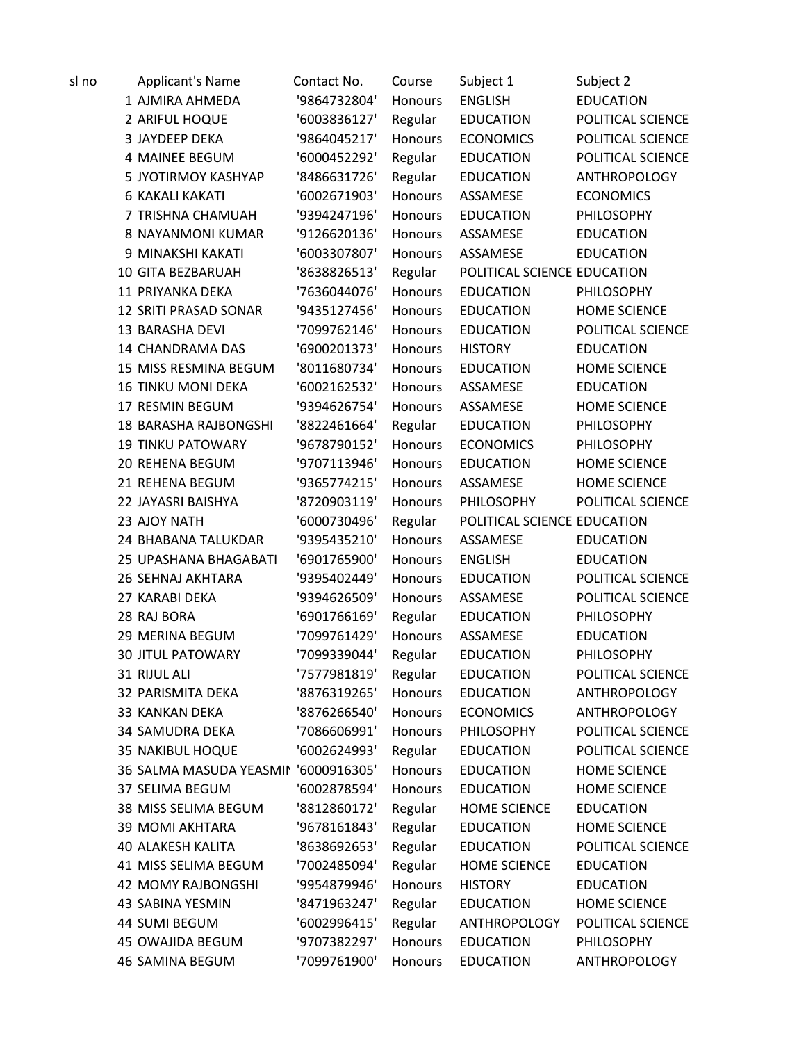| sl no | <b>Applicant's Name</b>              | Contact No.  | Course         | Subject 1                   | Subject 2           |
|-------|--------------------------------------|--------------|----------------|-----------------------------|---------------------|
|       | 1 AJMIRA AHMEDA                      | '9864732804' | Honours        | <b>ENGLISH</b>              | <b>EDUCATION</b>    |
|       | 2 ARIFUL HOQUE                       | '6003836127' | Regular        | <b>EDUCATION</b>            | POLITICAL SCIENCE   |
|       | 3 JAYDEEP DEKA                       | '9864045217' | Honours        | <b>ECONOMICS</b>            | POLITICAL SCIENCE   |
|       | <b>4 MAINEE BEGUM</b>                | '6000452292' | Regular        | <b>EDUCATION</b>            | POLITICAL SCIENCE   |
|       | 5 JYOTIRMOY KASHYAP                  | '8486631726' | Regular        | <b>EDUCATION</b>            | ANTHROPOLOGY        |
|       | <b>6 KAKALI KAKATI</b>               | '6002671903' | <b>Honours</b> | ASSAMESE                    | <b>ECONOMICS</b>    |
|       | 7 TRISHNA CHAMUAH                    | '9394247196' | Honours        | <b>EDUCATION</b>            | PHILOSOPHY          |
|       | 8 NAYANMONI KUMAR                    | '9126620136' | Honours        | ASSAMESE                    | <b>EDUCATION</b>    |
|       | 9 MINAKSHI KAKATI                    | '6003307807' | <b>Honours</b> | ASSAMESE                    | <b>EDUCATION</b>    |
|       | 10 GITA BEZBARUAH                    | '8638826513' | Regular        | POLITICAL SCIENCE EDUCATION |                     |
|       | 11 PRIYANKA DEKA                     | '7636044076' | <b>Honours</b> | <b>EDUCATION</b>            | PHILOSOPHY          |
|       | 12 SRITI PRASAD SONAR                | '9435127456' | Honours        | <b>EDUCATION</b>            | <b>HOME SCIENCE</b> |
|       | 13 BARASHA DEVI                      | '7099762146' | Honours        | <b>EDUCATION</b>            | POLITICAL SCIENCE   |
|       | 14 CHANDRAMA DAS                     | '6900201373' | Honours        | <b>HISTORY</b>              | <b>EDUCATION</b>    |
|       | 15 MISS RESMINA BEGUM                | '8011680734' | Honours        | <b>EDUCATION</b>            | <b>HOME SCIENCE</b> |
|       | <b>16 TINKU MONI DEKA</b>            | '6002162532' | Honours        | ASSAMESE                    | <b>EDUCATION</b>    |
|       | 17 RESMIN BEGUM                      | '9394626754' | Honours        | ASSAMESE                    | <b>HOME SCIENCE</b> |
|       | <b>18 BARASHA RAJBONGSHI</b>         | '8822461664' | Regular        | <b>EDUCATION</b>            | PHILOSOPHY          |
|       | <b>19 TINKU PATOWARY</b>             | '9678790152' | <b>Honours</b> | <b>ECONOMICS</b>            | PHILOSOPHY          |
|       | 20 REHENA BEGUM                      | '9707113946' | Honours        | <b>EDUCATION</b>            | <b>HOME SCIENCE</b> |
|       | 21 REHENA BEGUM                      | '9365774215' | Honours        | ASSAMESE                    | <b>HOME SCIENCE</b> |
|       | 22 JAYASRI BAISHYA                   | '8720903119' | Honours        | PHILOSOPHY                  | POLITICAL SCIENCE   |
|       | 23 AJOY NATH                         | '6000730496' | Regular        | POLITICAL SCIENCE EDUCATION |                     |
|       | 24 BHABANA TALUKDAR                  | '9395435210' | Honours        | ASSAMESE                    | <b>EDUCATION</b>    |
|       | 25 UPASHANA BHAGABATI                | '6901765900' | Honours        | <b>ENGLISH</b>              | <b>EDUCATION</b>    |
|       | 26 SEHNAJ AKHTARA                    | '9395402449' | Honours        | <b>EDUCATION</b>            | POLITICAL SCIENCE   |
|       | 27 KARABI DEKA                       | '9394626509' | Honours        | ASSAMESE                    | POLITICAL SCIENCE   |
|       | 28 RAJ BORA                          | '6901766169' | Regular        | <b>EDUCATION</b>            | PHILOSOPHY          |
|       | 29 MERINA BEGUM                      | '7099761429' | Honours        | ASSAMESE                    | <b>EDUCATION</b>    |
|       | <b>30 JITUL PATOWARY</b>             | '7099339044' | Regular        | <b>EDUCATION</b>            | PHILOSOPHY          |
|       | 31 RIJUL ALI                         | '7577981819' | Regular        | <b>EDUCATION</b>            | POLITICAL SCIENCE   |
|       | 32 PARISMITA DEKA                    | '8876319265' | Honours        | <b>EDUCATION</b>            | ANTHROPOLOGY        |
|       | 33 KANKAN DEKA                       | '8876266540' | Honours        | <b>ECONOMICS</b>            | ANTHROPOLOGY        |
|       | <b>34 SAMUDRA DEKA</b>               | '7086606991' | Honours        | PHILOSOPHY                  | POLITICAL SCIENCE   |
|       | 35 NAKIBUL HOQUE                     | '6002624993' | Regular        | <b>EDUCATION</b>            | POLITICAL SCIENCE   |
|       | 36 SALMA MASUDA YEASMIN '6000916305' |              | Honours        | <b>EDUCATION</b>            | <b>HOME SCIENCE</b> |
|       | 37 SELIMA BEGUM                      | '6002878594' | Honours        | <b>EDUCATION</b>            | <b>HOME SCIENCE</b> |
|       | 38 MISS SELIMA BEGUM                 | '8812860172' | Regular        | <b>HOME SCIENCE</b>         | <b>EDUCATION</b>    |
|       | <b>39 MOMI AKHTARA</b>               | '9678161843' | Regular        | <b>EDUCATION</b>            | <b>HOME SCIENCE</b> |
|       | <b>40 ALAKESH KALITA</b>             | '8638692653' | Regular        | <b>EDUCATION</b>            | POLITICAL SCIENCE   |
|       | 41 MISS SELIMA BEGUM                 | '7002485094' | Regular        | <b>HOME SCIENCE</b>         | <b>EDUCATION</b>    |
|       | <b>42 MOMY RAJBONGSHI</b>            | '9954879946' | Honours        | <b>HISTORY</b>              | <b>EDUCATION</b>    |
|       | 43 SABINA YESMIN                     | '8471963247' | Regular        | <b>EDUCATION</b>            | <b>HOME SCIENCE</b> |
|       | 44 SUMI BEGUM                        | '6002996415' | Regular        | ANTHROPOLOGY                | POLITICAL SCIENCE   |
|       | <b>45 OWAJIDA BEGUM</b>              | '9707382297' | Honours        | <b>EDUCATION</b>            | PHILOSOPHY          |
|       | 46 SAMINA BEGUM                      | '7099761900' | Honours        | <b>EDUCATION</b>            | <b>ANTHROPOLOGY</b> |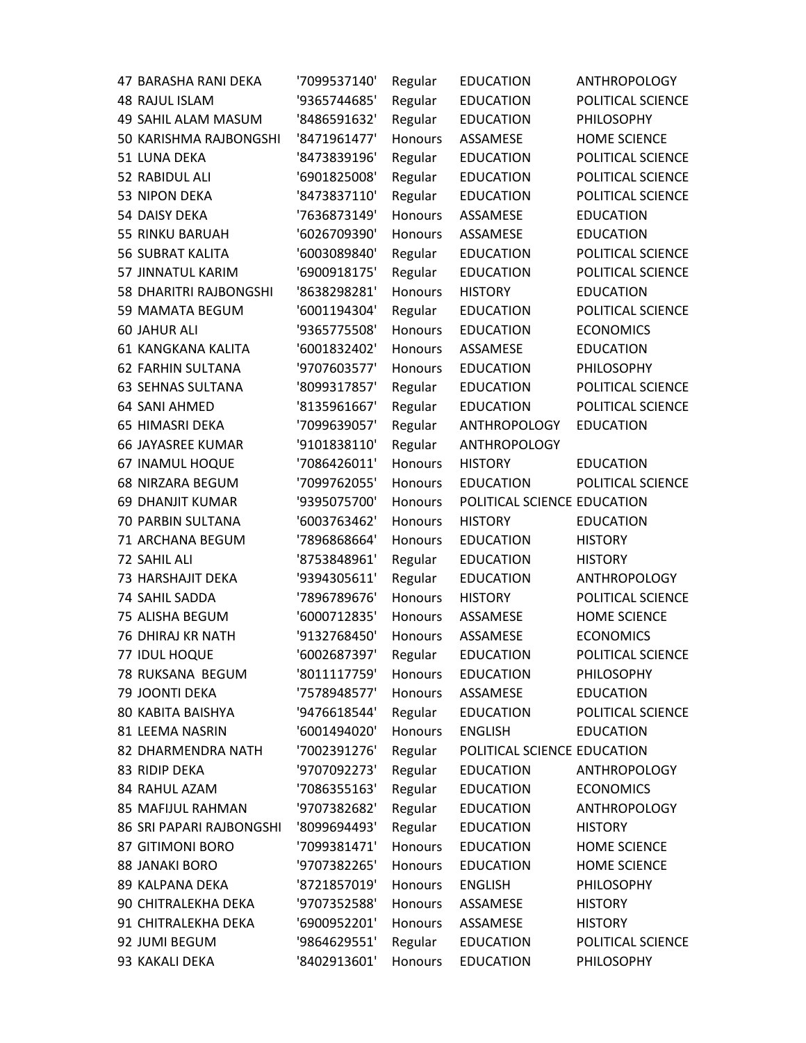| <b>47 BARASHA RANI DEKA</b> | '7099537140' | Regular        | <b>EDUCATION</b>            | <b>ANTHROPOLOGY</b> |
|-----------------------------|--------------|----------------|-----------------------------|---------------------|
| <b>48 RAJUL ISLAM</b>       | '9365744685' | Regular        | <b>EDUCATION</b>            | POLITICAL SCIENCE   |
| 49 SAHIL ALAM MASUM         | '8486591632' | Regular        | <b>EDUCATION</b>            | PHILOSOPHY          |
| 50 KARISHMA RAJBONGSHI      | '8471961477' | Honours        | ASSAMESE                    | <b>HOME SCIENCE</b> |
| 51 LUNA DEKA                | '8473839196' | Regular        | <b>EDUCATION</b>            | POLITICAL SCIENCE   |
| 52 RABIDUL ALI              | '6901825008' | Regular        | <b>EDUCATION</b>            | POLITICAL SCIENCE   |
| 53 NIPON DEKA               | '8473837110' | Regular        | <b>EDUCATION</b>            | POLITICAL SCIENCE   |
| 54 DAISY DEKA               | '7636873149' | Honours        | ASSAMESE                    | <b>EDUCATION</b>    |
| 55 RINKU BARUAH             | '6026709390' | Honours        | ASSAMESE                    | <b>EDUCATION</b>    |
| <b>56 SUBRAT KALITA</b>     | '6003089840' | Regular        | <b>EDUCATION</b>            | POLITICAL SCIENCE   |
| 57 JINNATUL KARIM           | '6900918175' | Regular        | <b>EDUCATION</b>            | POLITICAL SCIENCE   |
| 58 DHARITRI RAJBONGSHI      | '8638298281' | Honours        | <b>HISTORY</b>              | <b>EDUCATION</b>    |
| 59 MAMATA BEGUM             | '6001194304' | Regular        | <b>EDUCATION</b>            | POLITICAL SCIENCE   |
| <b>60 JAHUR ALI</b>         | '9365775508' | <b>Honours</b> | <b>EDUCATION</b>            | <b>ECONOMICS</b>    |
| 61 KANGKANA KALITA          | '6001832402' | Honours        | ASSAMESE                    | <b>EDUCATION</b>    |
| <b>62 FARHIN SULTANA</b>    | '9707603577' | <b>Honours</b> | <b>EDUCATION</b>            | PHILOSOPHY          |
| <b>63 SEHNAS SULTANA</b>    | '8099317857' | Regular        | <b>EDUCATION</b>            | POLITICAL SCIENCE   |
| 64 SANI AHMED               | '8135961667' | Regular        | <b>EDUCATION</b>            | POLITICAL SCIENCE   |
| 65 HIMASRI DEKA             | '7099639057' | Regular        | ANTHROPOLOGY                | <b>EDUCATION</b>    |
| <b>66 JAYASREE KUMAR</b>    | '9101838110' | Regular        | <b>ANTHROPOLOGY</b>         |                     |
| 67 INAMUL HOQUE             | '7086426011' | <b>Honours</b> | <b>HISTORY</b>              | <b>EDUCATION</b>    |
| 68 NIRZARA BEGUM            | '7099762055' | Honours        | <b>EDUCATION</b>            | POLITICAL SCIENCE   |
| <b>69 DHANJIT KUMAR</b>     | '9395075700' | <b>Honours</b> | POLITICAL SCIENCE EDUCATION |                     |
| 70 PARBIN SULTANA           | '6003763462' | <b>Honours</b> | <b>HISTORY</b>              | <b>EDUCATION</b>    |
| 71 ARCHANA BEGUM            | '7896868664' | <b>Honours</b> | <b>EDUCATION</b>            | <b>HISTORY</b>      |
| 72 SAHIL ALI                | '8753848961' | Regular        | <b>EDUCATION</b>            | <b>HISTORY</b>      |
| 73 HARSHAJIT DEKA           | '9394305611' | Regular        | <b>EDUCATION</b>            | ANTHROPOLOGY        |
| 74 SAHIL SADDA              | '7896789676' | <b>Honours</b> | <b>HISTORY</b>              | POLITICAL SCIENCE   |
| 75 ALISHA BEGUM             | '6000712835' | Honours        | ASSAMESE                    | <b>HOME SCIENCE</b> |
| 76 DHIRAJ KR NATH           | '9132768450' | <b>Honours</b> | ASSAMESE                    | <b>ECONOMICS</b>    |
| 77 IDUL HOQUE               | '6002687397' | Regular        | <b>EDUCATION</b>            | POLITICAL SCIENCE   |
| 78 RUKSANA BEGUM            | '8011117759' | <b>Honours</b> | <b>EDUCATION</b>            | PHILOSOPHY          |
| 79 JOONTI DEKA              | '7578948577' | <b>Honours</b> | ASSAMESE                    | <b>EDUCATION</b>    |
| 80 KABITA BAISHYA           | '9476618544' | Regular        | <b>EDUCATION</b>            | POLITICAL SCIENCE   |
| 81 LEEMA NASRIN             | '6001494020' | <b>Honours</b> | <b>ENGLISH</b>              | <b>EDUCATION</b>    |
| 82 DHARMENDRA NATH          | '7002391276' | Regular        | POLITICAL SCIENCE EDUCATION |                     |
| 83 RIDIP DEKA               | '9707092273' | Regular        | <b>EDUCATION</b>            | <b>ANTHROPOLOGY</b> |
| 84 RAHUL AZAM               | '7086355163' | Regular        | <b>EDUCATION</b>            | <b>ECONOMICS</b>    |
| 85 MAFIJUL RAHMAN           | '9707382682' | Regular        | <b>EDUCATION</b>            | <b>ANTHROPOLOGY</b> |
| 86 SRI PAPARI RAJBONGSHI    | '8099694493' | Regular        | <b>EDUCATION</b>            | <b>HISTORY</b>      |
| <b>87 GITIMONI BORO</b>     | '7099381471' | Honours        | <b>EDUCATION</b>            | <b>HOME SCIENCE</b> |
| <b>88 JANAKI BORO</b>       | '9707382265' | <b>Honours</b> | <b>EDUCATION</b>            | <b>HOME SCIENCE</b> |
| 89 KALPANA DEKA             | '8721857019' | Honours        | <b>ENGLISH</b>              | PHILOSOPHY          |
| 90 CHITRALEKHA DEKA         | '9707352588' | <b>Honours</b> | ASSAMESE                    | <b>HISTORY</b>      |
| 91 CHITRALEKHA DEKA         | '6900952201' | Honours        | ASSAMESE                    | <b>HISTORY</b>      |
| 92 JUMI BEGUM               | '9864629551' | Regular        | <b>EDUCATION</b>            | POLITICAL SCIENCE   |
| 93 KAKALI DEKA              | '8402913601' | Honours        | <b>EDUCATION</b>            | PHILOSOPHY          |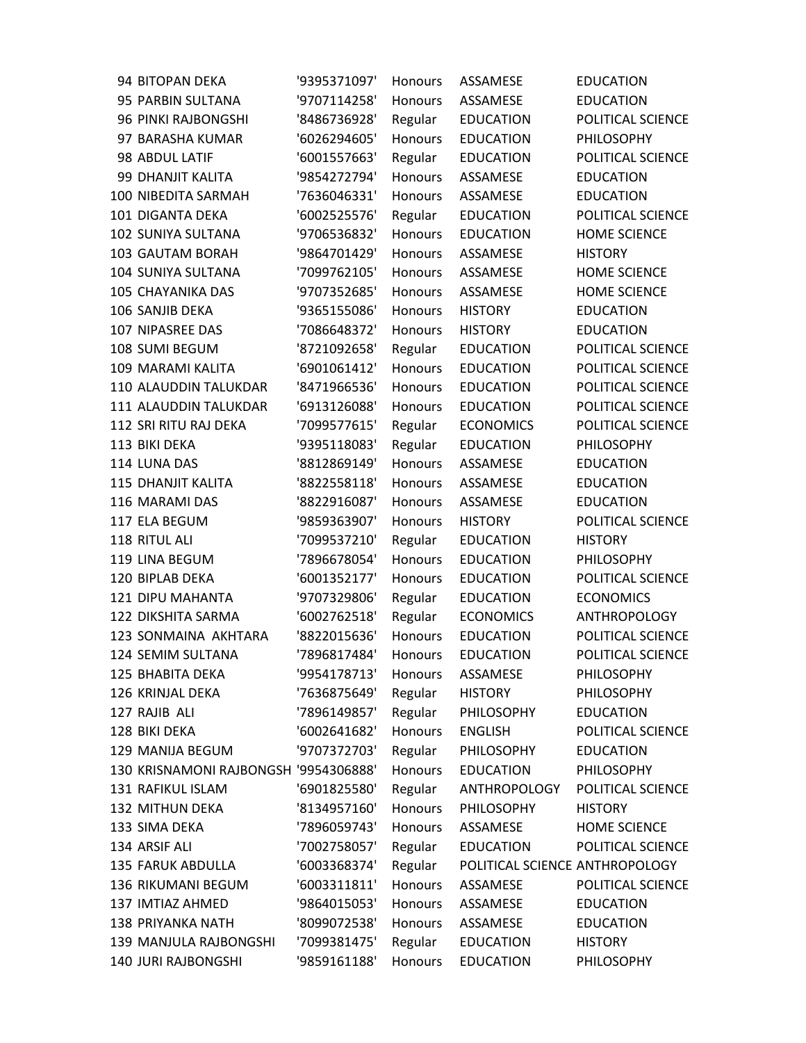| 94 BITOPAN DEKA                       | '9395371097' | Honours        | ASSAMESE                       | <b>EDUCATION</b>    |
|---------------------------------------|--------------|----------------|--------------------------------|---------------------|
| 95 PARBIN SULTANA                     | '9707114258' | Honours        | ASSAMESE                       | <b>EDUCATION</b>    |
| 96 PINKI RAJBONGSHI                   | '8486736928' | Regular        | <b>EDUCATION</b>               | POLITICAL SCIENCE   |
| 97 BARASHA KUMAR                      | '6026294605' | <b>Honours</b> | <b>EDUCATION</b>               | PHILOSOPHY          |
| 98 ABDUL LATIF                        | '6001557663' | Regular        | <b>EDUCATION</b>               | POLITICAL SCIENCE   |
| 99 DHANJIT KALITA                     | '9854272794' | Honours        | ASSAMESE                       | <b>EDUCATION</b>    |
| 100 NIBEDITA SARMAH                   | '7636046331' | Honours        | ASSAMESE                       | <b>EDUCATION</b>    |
| 101 DIGANTA DEKA                      | '6002525576' | Regular        | <b>EDUCATION</b>               | POLITICAL SCIENCE   |
| 102 SUNIYA SULTANA                    | '9706536832' | Honours        | <b>EDUCATION</b>               | <b>HOME SCIENCE</b> |
| 103 GAUTAM BORAH                      | '9864701429' | Honours        | ASSAMESE                       | <b>HISTORY</b>      |
| 104 SUNIYA SULTANA                    | '7099762105' | Honours        | ASSAMESE                       | <b>HOME SCIENCE</b> |
| 105 CHAYANIKA DAS                     | '9707352685' | Honours        | ASSAMESE                       | <b>HOME SCIENCE</b> |
| 106 SANJIB DEKA                       | '9365155086' | Honours        | <b>HISTORY</b>                 | <b>EDUCATION</b>    |
| 107 NIPASREE DAS                      | '7086648372' | Honours        | <b>HISTORY</b>                 | <b>EDUCATION</b>    |
| 108 SUMI BEGUM                        | '8721092658' | Regular        | <b>EDUCATION</b>               | POLITICAL SCIENCE   |
| 109 MARAMI KALITA                     | '6901061412' | Honours        | <b>EDUCATION</b>               | POLITICAL SCIENCE   |
| 110 ALAUDDIN TALUKDAR                 | '8471966536' | Honours        | <b>EDUCATION</b>               | POLITICAL SCIENCE   |
| 111 ALAUDDIN TALUKDAR                 | '6913126088' | Honours        | <b>EDUCATION</b>               | POLITICAL SCIENCE   |
| 112 SRI RITU RAJ DEKA                 | '7099577615' | Regular        | <b>ECONOMICS</b>               | POLITICAL SCIENCE   |
| 113 BIKI DEKA                         | '9395118083' | Regular        | <b>EDUCATION</b>               | <b>PHILOSOPHY</b>   |
| 114 LUNA DAS                          | '8812869149' | <b>Honours</b> | ASSAMESE                       | <b>EDUCATION</b>    |
| <b>115 DHANJIT KALITA</b>             | '8822558118' | Honours        | ASSAMESE                       | <b>EDUCATION</b>    |
| 116 MARAMI DAS                        | '8822916087' | Honours        | ASSAMESE                       | <b>EDUCATION</b>    |
| 117 ELA BEGUM                         | '9859363907' | Honours        | <b>HISTORY</b>                 | POLITICAL SCIENCE   |
| 118 RITUL ALI                         | '7099537210' | Regular        | <b>EDUCATION</b>               | <b>HISTORY</b>      |
| 119 LINA BEGUM                        | '7896678054' | <b>Honours</b> | <b>EDUCATION</b>               | PHILOSOPHY          |
| 120 BIPLAB DEKA                       | '6001352177' | Honours        | <b>EDUCATION</b>               | POLITICAL SCIENCE   |
| 121 DIPU MAHANTA                      | '9707329806' | Regular        | <b>EDUCATION</b>               | <b>ECONOMICS</b>    |
| 122 DIKSHITA SARMA                    | '6002762518' | Regular        | <b>ECONOMICS</b>               | <b>ANTHROPOLOGY</b> |
| 123 SONMAINA AKHTARA                  | '8822015636' | <b>Honours</b> | <b>EDUCATION</b>               | POLITICAL SCIENCE   |
| 124 SEMIM SULTANA                     | '7896817484' | <b>Honours</b> | <b>EDUCATION</b>               | POLITICAL SCIENCE   |
| 125 BHABITA DEKA                      | '9954178713' | <b>Honours</b> | ASSAMESE                       | PHILOSOPHY          |
| 126 KRINJAL DEKA                      | '7636875649' | Regular        | <b>HISTORY</b>                 | PHILOSOPHY          |
| 127 RAJIB ALI                         | '7896149857' | Regular        | PHILOSOPHY                     | <b>EDUCATION</b>    |
| 128 BIKI DEKA                         | '6002641682' | <b>Honours</b> | <b>ENGLISH</b>                 | POLITICAL SCIENCE   |
| 129 MANIJA BEGUM                      | '9707372703' | Regular        | <b>PHILOSOPHY</b>              | <b>EDUCATION</b>    |
| 130 KRISNAMONI RAJBONGSH '9954306888' |              | <b>Honours</b> | <b>EDUCATION</b>               | PHILOSOPHY          |
| 131 RAFIKUL ISLAM                     | '6901825580' | Regular        | ANTHROPOLOGY                   | POLITICAL SCIENCE   |
| 132 MITHUN DEKA                       | '8134957160' | Honours        | <b>PHILOSOPHY</b>              | <b>HISTORY</b>      |
| 133 SIMA DEKA                         | '7896059743' | <b>Honours</b> | ASSAMESE                       | <b>HOME SCIENCE</b> |
| 134 ARSIF ALI                         | '7002758057' | Regular        | <b>EDUCATION</b>               | POLITICAL SCIENCE   |
| <b>135 FARUK ABDULLA</b>              | '6003368374' | Regular        | POLITICAL SCIENCE ANTHROPOLOGY |                     |
| 136 RIKUMANI BEGUM                    | '6003311811' | Honours        | ASSAMESE                       | POLITICAL SCIENCE   |
| 137 IMTIAZ AHMED                      | '9864015053' | Honours        | ASSAMESE                       | <b>EDUCATION</b>    |
| 138 PRIYANKA NATH                     | '8099072538' | Honours        | ASSAMESE                       | <b>EDUCATION</b>    |
| 139 MANJULA RAJBONGSHI                | '7099381475' | Regular        | <b>EDUCATION</b>               | <b>HISTORY</b>      |
| 140 JURI RAJBONGSHI                   | '9859161188' | Honours        | <b>EDUCATION</b>               | PHILOSOPHY          |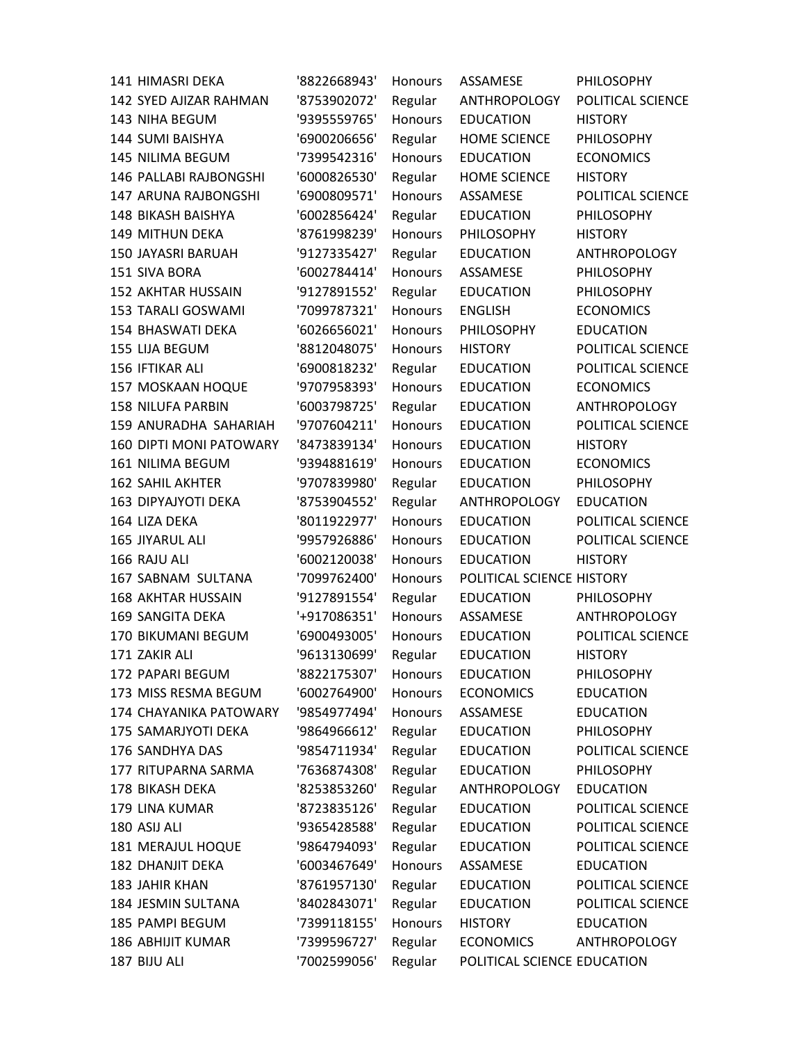| <b>141 HIMASRI DEKA</b>        | '8822668943' | Honours        | <b>ASSAMESE</b>             | PHILOSOPHY          |
|--------------------------------|--------------|----------------|-----------------------------|---------------------|
| <b>142 SYED AJIZAR RAHMAN</b>  | '8753902072' | Regular        | ANTHROPOLOGY                | POLITICAL SCIENCE   |
| 143 NIHA BEGUM                 | '9395559765' | Honours        | <b>EDUCATION</b>            | <b>HISTORY</b>      |
| 144 SUMI BAISHYA               | '6900206656' | Regular        | <b>HOME SCIENCE</b>         | PHILOSOPHY          |
| 145 NILIMA BEGUM               | '7399542316' | <b>Honours</b> | <b>EDUCATION</b>            | <b>ECONOMICS</b>    |
| 146 PALLABI RAJBONGSHI         | '6000826530' | Regular        | <b>HOME SCIENCE</b>         | <b>HISTORY</b>      |
| 147 ARUNA RAJBONGSHI           | '6900809571' | <b>Honours</b> | ASSAMESE                    | POLITICAL SCIENCE   |
| <b>148 BIKASH BAISHYA</b>      | '6002856424' | Regular        | <b>EDUCATION</b>            | PHILOSOPHY          |
| 149 MITHUN DEKA                | '8761998239' | <b>Honours</b> | PHILOSOPHY                  | <b>HISTORY</b>      |
| 150 JAYASRI BARUAH             | '9127335427' | Regular        | <b>EDUCATION</b>            | <b>ANTHROPOLOGY</b> |
| 151 SIVA BORA                  | '6002784414' | <b>Honours</b> | ASSAMESE                    | PHILOSOPHY          |
| <b>152 AKHTAR HUSSAIN</b>      | '9127891552' | Regular        | <b>EDUCATION</b>            | PHILOSOPHY          |
| <b>153 TARALI GOSWAMI</b>      | '7099787321' | <b>Honours</b> | <b>ENGLISH</b>              | <b>ECONOMICS</b>    |
| 154 BHASWATI DEKA              | '6026656021' | <b>Honours</b> | PHILOSOPHY                  | <b>EDUCATION</b>    |
| 155 LIJA BEGUM                 | '8812048075' | <b>Honours</b> | <b>HISTORY</b>              | POLITICAL SCIENCE   |
| 156 IFTIKAR ALI                | '6900818232' | Regular        | <b>EDUCATION</b>            | POLITICAL SCIENCE   |
| 157 MOSKAAN HOQUE              | '9707958393' | <b>Honours</b> | <b>EDUCATION</b>            | <b>ECONOMICS</b>    |
| <b>158 NILUFA PARBIN</b>       | '6003798725' | Regular        | <b>EDUCATION</b>            | <b>ANTHROPOLOGY</b> |
| 159 ANURADHA SAHARIAH          | '9707604211' | <b>Honours</b> | <b>EDUCATION</b>            | POLITICAL SCIENCE   |
| <b>160 DIPTI MONI PATOWARY</b> | '8473839134' | Honours        | <b>EDUCATION</b>            | <b>HISTORY</b>      |
| 161 NILIMA BEGUM               | '9394881619' | Honours        | <b>EDUCATION</b>            | <b>ECONOMICS</b>    |
| <b>162 SAHIL AKHTER</b>        | '9707839980' | Regular        | <b>EDUCATION</b>            | PHILOSOPHY          |
| <b>163 DIPYAJYOTI DEKA</b>     | '8753904552' | Regular        | <b>ANTHROPOLOGY</b>         | <b>EDUCATION</b>    |
| 164 LIZA DEKA                  | '8011922977' | <b>Honours</b> | <b>EDUCATION</b>            | POLITICAL SCIENCE   |
| 165 JIYARUL ALI                | '9957926886' | Honours        | <b>EDUCATION</b>            | POLITICAL SCIENCE   |
| 166 RAJU ALI                   | '6002120038' | Honours        | <b>EDUCATION</b>            | <b>HISTORY</b>      |
| 167 SABNAM SULTANA             | '7099762400' | Honours        | POLITICAL SCIENCE HISTORY   |                     |
| <b>168 AKHTAR HUSSAIN</b>      | '9127891554' | Regular        | <b>EDUCATION</b>            | PHILOSOPHY          |
| 169 SANGITA DEKA               | '+917086351' | <b>Honours</b> | ASSAMESE                    | ANTHROPOLOGY        |
| 170 BIKUMANI BEGUM             | '6900493005' | Honours        | <b>EDUCATION</b>            | POLITICAL SCIENCE   |
| 171 ZAKIR ALI                  | '9613130699' | Regular        | <b>EDUCATION</b>            | <b>HISTORY</b>      |
| 172 PAPARI BEGUM               | '8822175307' | Honours        | <b>EDUCATION</b>            | PHILOSOPHY          |
| 173 MISS RESMA BEGUM           | '6002764900' | Honours        | <b>ECONOMICS</b>            | <b>EDUCATION</b>    |
| 174 CHAYANIKA PATOWARY         | '9854977494' | <b>Honours</b> | ASSAMESE                    | <b>EDUCATION</b>    |
| 175 SAMARJYOTI DEKA            | '9864966612' | Regular        | <b>EDUCATION</b>            | PHILOSOPHY          |
| 176 SANDHYA DAS                | '9854711934' | Regular        | <b>EDUCATION</b>            | POLITICAL SCIENCE   |
| 177 RITUPARNA SARMA            | '7636874308' | Regular        | <b>EDUCATION</b>            | PHILOSOPHY          |
| 178 BIKASH DEKA                | '8253853260' | Regular        | <b>ANTHROPOLOGY</b>         | <b>EDUCATION</b>    |
| 179 LINA KUMAR                 | '8723835126' | Regular        | <b>EDUCATION</b>            | POLITICAL SCIENCE   |
| 180 ASIJ ALI                   | '9365428588' | Regular        | <b>EDUCATION</b>            | POLITICAL SCIENCE   |
| 181 MERAJUL HOQUE              | '9864794093' | Regular        | <b>EDUCATION</b>            | POLITICAL SCIENCE   |
| <b>182 DHANJIT DEKA</b>        | '6003467649' | Honours        | ASSAMESE                    | <b>EDUCATION</b>    |
| <b>183 JAHIR KHAN</b>          | '8761957130' | Regular        | <b>EDUCATION</b>            | POLITICAL SCIENCE   |
| 184 JESMIN SULTANA             | '8402843071' | Regular        | <b>EDUCATION</b>            | POLITICAL SCIENCE   |
| 185 PAMPI BEGUM                | '7399118155' | Honours        | <b>HISTORY</b>              | <b>EDUCATION</b>    |
| <b>186 ABHIJIT KUMAR</b>       | '7399596727' | Regular        | <b>ECONOMICS</b>            | ANTHROPOLOGY        |
| 187 BIJU ALI                   | '7002599056' | Regular        | POLITICAL SCIENCE EDUCATION |                     |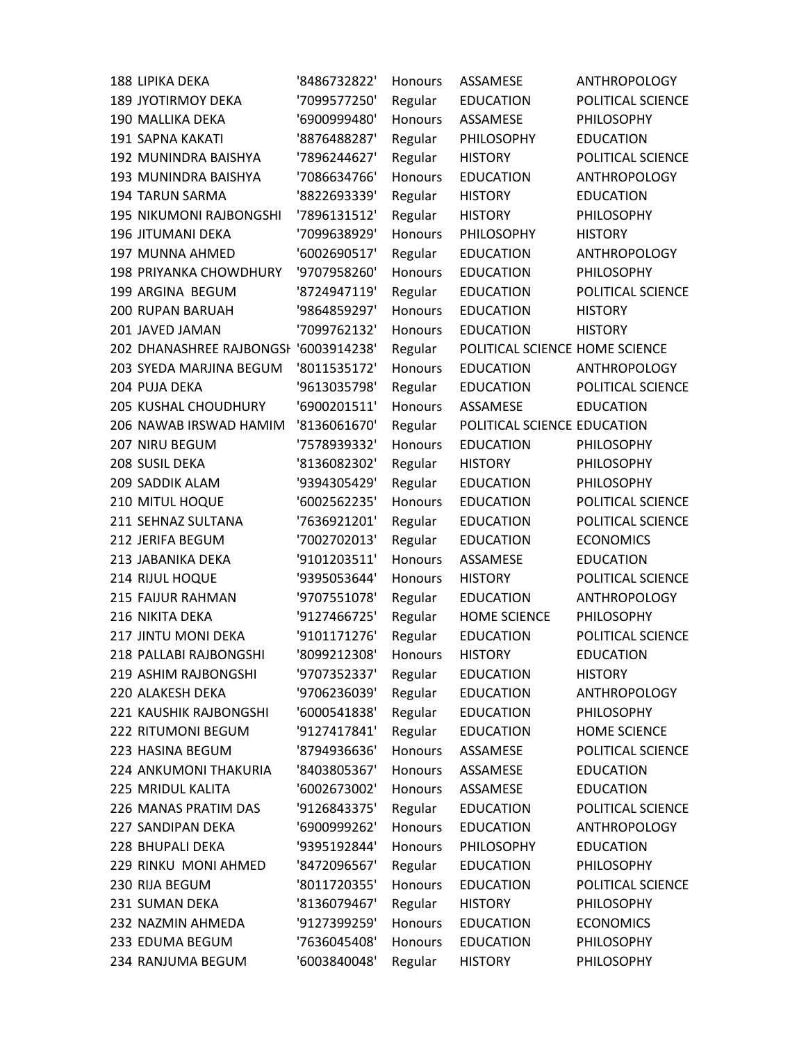| <b>188 LIPIKA DEKA</b>                | '8486732822' | Honours        | ASSAMESE                       | ANTHROPOLOGY        |
|---------------------------------------|--------------|----------------|--------------------------------|---------------------|
| <b>189 JYOTIRMOY DEKA</b>             | '7099577250' | Regular        | <b>EDUCATION</b>               | POLITICAL SCIENCE   |
| 190 MALLIKA DEKA                      | '6900999480' | <b>Honours</b> | ASSAMESE                       | PHILOSOPHY          |
| 191 SAPNA KAKATI                      | '8876488287' | Regular        | PHILOSOPHY                     | <b>EDUCATION</b>    |
| 192 MUNINDRA BAISHYA                  | '7896244627' | Regular        | <b>HISTORY</b>                 | POLITICAL SCIENCE   |
| 193 MUNINDRA BAISHYA                  | '7086634766' | Honours        | <b>EDUCATION</b>               | <b>ANTHROPOLOGY</b> |
| <b>194 TARUN SARMA</b>                | '8822693339' | Regular        | <b>HISTORY</b>                 | <b>EDUCATION</b>    |
| <b>195 NIKUMONI RAJBONGSHI</b>        | '7896131512' | Regular        | <b>HISTORY</b>                 | PHILOSOPHY          |
| 196 JITUMANI DEKA                     | '7099638929' | Honours        | PHILOSOPHY                     | <b>HISTORY</b>      |
| 197 MUNNA AHMED                       | '6002690517' | Regular        | <b>EDUCATION</b>               | <b>ANTHROPOLOGY</b> |
| <b>198 PRIYANKA CHOWDHURY</b>         | '9707958260' | <b>Honours</b> | <b>EDUCATION</b>               | PHILOSOPHY          |
| 199 ARGINA BEGUM                      | '8724947119' | Regular        | <b>EDUCATION</b>               | POLITICAL SCIENCE   |
| 200 RUPAN BARUAH                      | '9864859297' | Honours        | <b>EDUCATION</b>               | <b>HISTORY</b>      |
| 201 JAVED JAMAN                       | '7099762132' | Honours        | <b>EDUCATION</b>               | <b>HISTORY</b>      |
| 202 DHANASHREE RAJBONGSI '6003914238' |              | Regular        | POLITICAL SCIENCE HOME SCIENCE |                     |
| 203 SYEDA MARJINA BEGUM               | '8011535172' | Honours        | <b>EDUCATION</b>               | <b>ANTHROPOLOGY</b> |
| 204 PUJA DEKA                         | '9613035798' | Regular        | <b>EDUCATION</b>               | POLITICAL SCIENCE   |
| 205 KUSHAL CHOUDHURY                  | '6900201511' | <b>Honours</b> | ASSAMESE                       | <b>EDUCATION</b>    |
| 206 NAWAB IRSWAD HAMIM                | '8136061670' | Regular        | POLITICAL SCIENCE EDUCATION    |                     |
| 207 NIRU BEGUM                        | '7578939332' | <b>Honours</b> | <b>EDUCATION</b>               | PHILOSOPHY          |
| 208 SUSIL DEKA                        | '8136082302' | Regular        | <b>HISTORY</b>                 | PHILOSOPHY          |
| 209 SADDIK ALAM                       | '9394305429' | Regular        | <b>EDUCATION</b>               | PHILOSOPHY          |
| 210 MITUL HOQUE                       | '6002562235' | Honours        | <b>EDUCATION</b>               | POLITICAL SCIENCE   |
| 211 SEHNAZ SULTANA                    | '7636921201' | Regular        | <b>EDUCATION</b>               | POLITICAL SCIENCE   |
| 212 JERIFA BEGUM                      | '7002702013' | Regular        | <b>EDUCATION</b>               | <b>ECONOMICS</b>    |
| 213 JABANIKA DEKA                     | '9101203511' | Honours        | ASSAMESE                       | <b>EDUCATION</b>    |
| 214 RIJUL HOQUE                       | '9395053644' | Honours        | <b>HISTORY</b>                 | POLITICAL SCIENCE   |
| 215 FAIJUR RAHMAN                     | '9707551078' | Regular        | <b>EDUCATION</b>               | <b>ANTHROPOLOGY</b> |
| 216 NIKITA DEKA                       | '9127466725' | Regular        | <b>HOME SCIENCE</b>            | PHILOSOPHY          |
| 217 JINTU MONI DEKA                   | '9101171276' | Regular        | <b>EDUCATION</b>               | POLITICAL SCIENCE   |
| 218 PALLABI RAJBONGSHI                | '8099212308' | Honours        | <b>HISTORY</b>                 | <b>EDUCATION</b>    |
| 219 ASHIM RAJBONGSHI                  | '9707352337' | Regular        | <b>EDUCATION</b>               | <b>HISTORY</b>      |
| 220 ALAKESH DEKA                      | '9706236039' | Regular        | <b>EDUCATION</b>               | <b>ANTHROPOLOGY</b> |
| 221 KAUSHIK RAJBONGSHI                | '6000541838' | Regular        | <b>EDUCATION</b>               | PHILOSOPHY          |
| 222 RITUMONI BEGUM                    | '9127417841' | Regular        | <b>EDUCATION</b>               | <b>HOME SCIENCE</b> |
| 223 HASINA BEGUM                      | '8794936636' | <b>Honours</b> | ASSAMESE                       | POLITICAL SCIENCE   |
| <b>224 ANKUMONI THAKURIA</b>          | '8403805367' | <b>Honours</b> | ASSAMESE                       | <b>EDUCATION</b>    |
| 225 MRIDUL KALITA                     | '6002673002' | <b>Honours</b> | ASSAMESE                       | <b>EDUCATION</b>    |
| 226 MANAS PRATIM DAS                  | '9126843375' | Regular        | <b>EDUCATION</b>               | POLITICAL SCIENCE   |
| 227 SANDIPAN DEKA                     | '6900999262' | Honours        | <b>EDUCATION</b>               | <b>ANTHROPOLOGY</b> |
| 228 BHUPALI DEKA                      | '9395192844' | <b>Honours</b> | PHILOSOPHY                     | <b>EDUCATION</b>    |
| 229 RINKU MONI AHMED                  | '8472096567' | Regular        | <b>EDUCATION</b>               | PHILOSOPHY          |
| 230 RIJA BEGUM                        | '8011720355' | <b>Honours</b> | <b>EDUCATION</b>               | POLITICAL SCIENCE   |
| 231 SUMAN DEKA                        | '8136079467' | Regular        | <b>HISTORY</b>                 | PHILOSOPHY          |
| 232 NAZMIN AHMEDA                     | '9127399259' | Honours        | <b>EDUCATION</b>               | <b>ECONOMICS</b>    |
| 233 EDUMA BEGUM                       | '7636045408' | <b>Honours</b> | <b>EDUCATION</b>               | PHILOSOPHY          |
| 234 RANJUMA BEGUM                     | '6003840048' | Regular        | <b>HISTORY</b>                 | PHILOSOPHY          |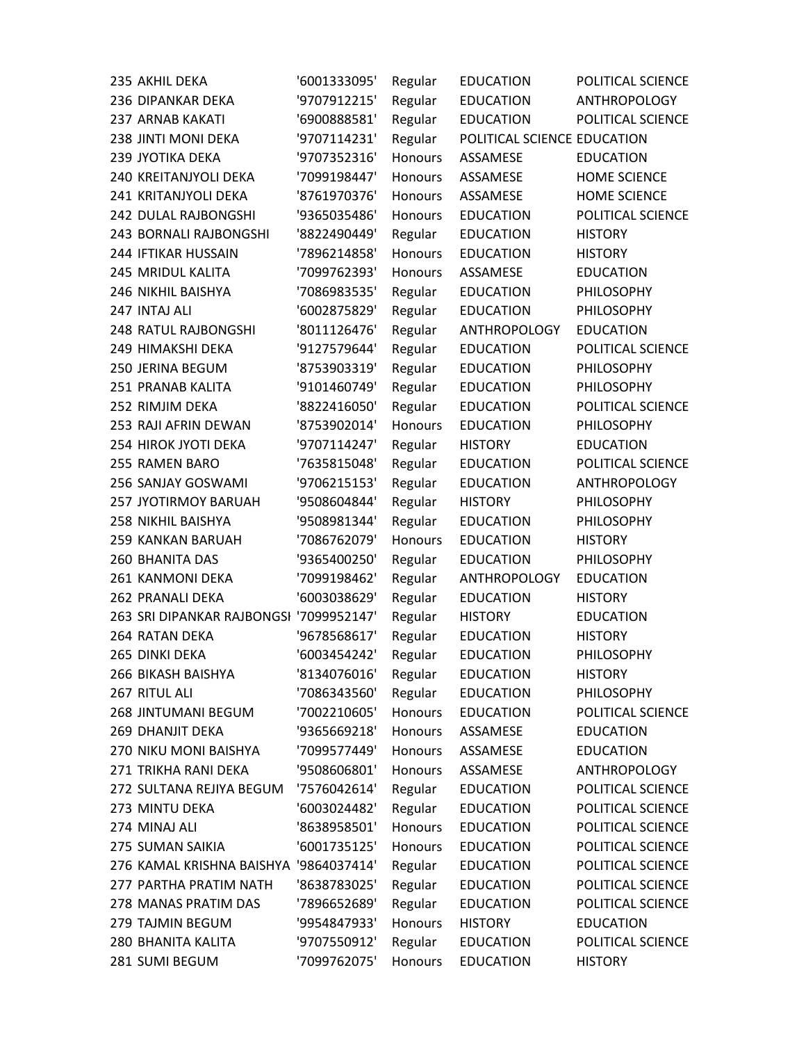| 235 AKHIL DEKA                          | '6001333095' | Regular        | <b>EDUCATION</b>            | POLITICAL SCIENCE   |
|-----------------------------------------|--------------|----------------|-----------------------------|---------------------|
| 236 DIPANKAR DEKA                       | '9707912215' | Regular        | <b>EDUCATION</b>            | <b>ANTHROPOLOGY</b> |
| 237 ARNAB KAKATI                        | '6900888581' | Regular        | <b>EDUCATION</b>            | POLITICAL SCIENCE   |
| 238 JINTI MONI DEKA                     | '9707114231' | Regular        | POLITICAL SCIENCE EDUCATION |                     |
| 239 JYOTIKA DEKA                        | '9707352316' | <b>Honours</b> | ASSAMESE                    | <b>EDUCATION</b>    |
| 240 KREITANJYOLI DEKA                   | '7099198447' | <b>Honours</b> | ASSAMESE                    | <b>HOME SCIENCE</b> |
| 241 KRITANJYOLI DEKA                    | '8761970376' | <b>Honours</b> | ASSAMESE                    | <b>HOME SCIENCE</b> |
| 242 DULAL RAJBONGSHI                    | '9365035486' | <b>Honours</b> | <b>EDUCATION</b>            | POLITICAL SCIENCE   |
| 243 BORNALI RAJBONGSHI                  | '8822490449' | Regular        | <b>EDUCATION</b>            | <b>HISTORY</b>      |
| 244 IFTIKAR HUSSAIN                     | '7896214858' | <b>Honours</b> | <b>EDUCATION</b>            | <b>HISTORY</b>      |
| 245 MRIDUL KALITA                       | '7099762393' | <b>Honours</b> | ASSAMESE                    | <b>EDUCATION</b>    |
| 246 NIKHIL BAISHYA                      | '7086983535' | Regular        | <b>EDUCATION</b>            | PHILOSOPHY          |
| 247 INTAJ ALI                           | '6002875829' | Regular        | <b>EDUCATION</b>            | PHILOSOPHY          |
| 248 RATUL RAJBONGSHI                    | '8011126476' | Regular        | <b>ANTHROPOLOGY</b>         | <b>EDUCATION</b>    |
| 249 HIMAKSHI DEKA                       | '9127579644' | Regular        | <b>EDUCATION</b>            | POLITICAL SCIENCE   |
| 250 JERINA BEGUM                        | '8753903319' | Regular        | <b>EDUCATION</b>            | PHILOSOPHY          |
| 251 PRANAB KALITA                       | '9101460749' | Regular        | <b>EDUCATION</b>            | PHILOSOPHY          |
| 252 RIMJIM DEKA                         | '8822416050' | Regular        | <b>EDUCATION</b>            | POLITICAL SCIENCE   |
| 253 RAJI AFRIN DEWAN                    | '8753902014' | Honours        | <b>EDUCATION</b>            | PHILOSOPHY          |
| 254 HIROK JYOTI DEKA                    | '9707114247' | Regular        | <b>HISTORY</b>              | <b>EDUCATION</b>    |
| 255 RAMEN BARO                          | '7635815048' | Regular        | <b>EDUCATION</b>            | POLITICAL SCIENCE   |
| 256 SANJAY GOSWAMI                      | '9706215153' | Regular        | <b>EDUCATION</b>            | <b>ANTHROPOLOGY</b> |
| 257 JYOTIRMOY BARUAH                    | '9508604844' | Regular        | <b>HISTORY</b>              | PHILOSOPHY          |
| 258 NIKHIL BAISHYA                      | '9508981344' | Regular        | <b>EDUCATION</b>            | PHILOSOPHY          |
| 259 KANKAN BARUAH                       | '7086762079' | <b>Honours</b> | <b>EDUCATION</b>            | <b>HISTORY</b>      |
| <b>260 BHANITA DAS</b>                  | '9365400250' | Regular        | <b>EDUCATION</b>            | PHILOSOPHY          |
| 261 KANMONI DEKA                        | '7099198462' | Regular        | ANTHROPOLOGY                | <b>EDUCATION</b>    |
| 262 PRANALI DEKA                        | '6003038629' | Regular        | <b>EDUCATION</b>            | <b>HISTORY</b>      |
| 263 SRI DIPANKAR RAJBONGSI '7099952147' |              | Regular        | <b>HISTORY</b>              | <b>EDUCATION</b>    |
| 264 RATAN DEKA                          | '9678568617' | Regular        | <b>EDUCATION</b>            | <b>HISTORY</b>      |
| 265 DINKI DEKA                          | '6003454242' | Regular        | <b>EDUCATION</b>            | PHILOSOPHY          |
| 266 BIKASH BAISHYA                      | '8134076016' | Regular        | <b>EDUCATION</b>            | <b>HISTORY</b>      |
| 267 RITUL ALI                           | '7086343560' | Regular        | <b>EDUCATION</b>            | PHILOSOPHY          |
| 268 JINTUMANI BEGUM                     | '7002210605' | <b>Honours</b> | <b>EDUCATION</b>            | POLITICAL SCIENCE   |
| <b>269 DHANJIT DEKA</b>                 | '9365669218' | Honours        | ASSAMESE                    | <b>EDUCATION</b>    |
| 270 NIKU MONI BAISHYA                   | '7099577449' | <b>Honours</b> | ASSAMESE                    | <b>EDUCATION</b>    |
| 271 TRIKHA RANI DEKA                    | '9508606801' | <b>Honours</b> | ASSAMESE                    | <b>ANTHROPOLOGY</b> |
| 272 SULTANA REJIYA BEGUM                | '7576042614' | Regular        | <b>EDUCATION</b>            | POLITICAL SCIENCE   |
| 273 MINTU DEKA                          | '6003024482' | Regular        | <b>EDUCATION</b>            | POLITICAL SCIENCE   |
| 274 MINAJ ALI                           | '8638958501' | Honours        | <b>EDUCATION</b>            | POLITICAL SCIENCE   |
| 275 SUMAN SAIKIA                        | '6001735125' | <b>Honours</b> | <b>EDUCATION</b>            | POLITICAL SCIENCE   |
| 276 KAMAL KRISHNA BAISHYA '9864037414'  |              | Regular        | <b>EDUCATION</b>            | POLITICAL SCIENCE   |
| 277 PARTHA PRATIM NATH                  | '8638783025' | Regular        | <b>EDUCATION</b>            | POLITICAL SCIENCE   |
| 278 MANAS PRATIM DAS                    | '7896652689' | Regular        | <b>EDUCATION</b>            | POLITICAL SCIENCE   |
| 279 TAJMIN BEGUM                        | '9954847933' | Honours        | <b>HISTORY</b>              | <b>EDUCATION</b>    |
| 280 BHANITA KALITA                      | '9707550912' | Regular        | <b>EDUCATION</b>            | POLITICAL SCIENCE   |
| 281 SUMI BEGUM                          | '7099762075' | <b>Honours</b> | <b>EDUCATION</b>            | <b>HISTORY</b>      |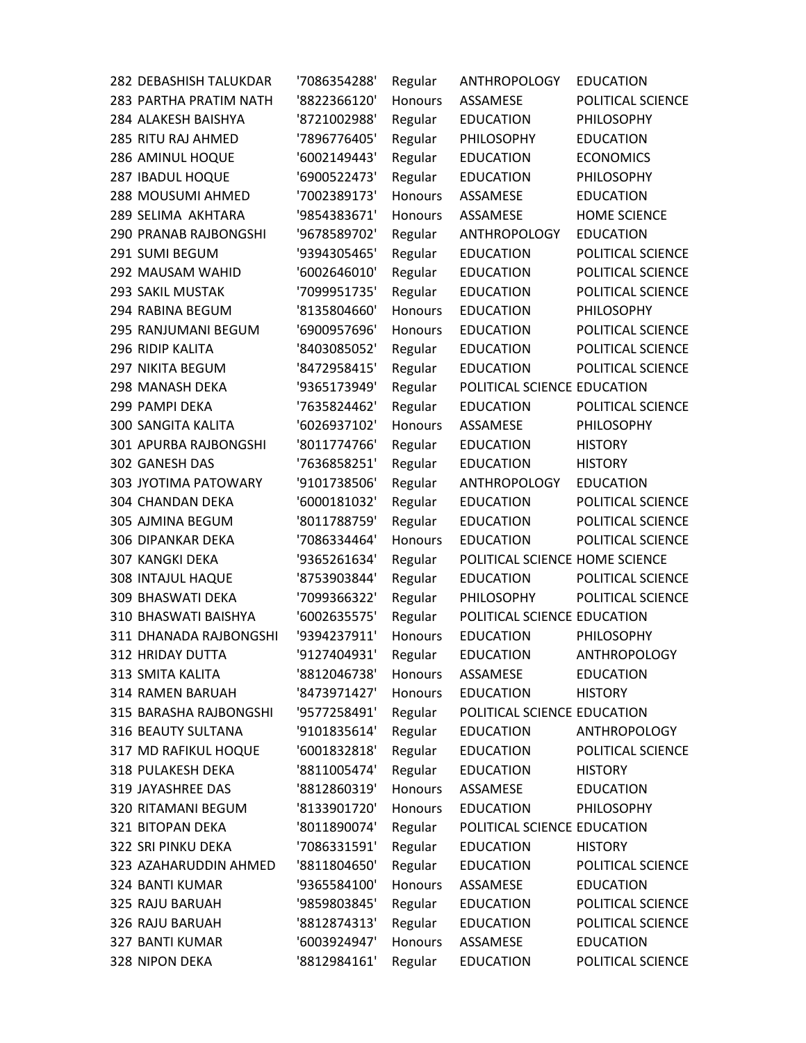| 282 DEBASHISH TALUKDAR       | '7086354288' | Regular        | <b>ANTHROPOLOGY</b>            | <b>EDUCATION</b>    |
|------------------------------|--------------|----------------|--------------------------------|---------------------|
| 283 PARTHA PRATIM NATH       | '8822366120' | Honours        | ASSAMESE                       | POLITICAL SCIENCE   |
| 284 ALAKESH BAISHYA          | '8721002988' | Regular        | <b>EDUCATION</b>               | PHILOSOPHY          |
| 285 RITU RAJ AHMED           | '7896776405' | Regular        | PHILOSOPHY                     | <b>EDUCATION</b>    |
| 286 AMINUL HOQUE             | '6002149443' | Regular        | <b>EDUCATION</b>               | <b>ECONOMICS</b>    |
| 287 IBADUL HOQUE             | '6900522473' | Regular        | <b>EDUCATION</b>               | PHILOSOPHY          |
| 288 MOUSUMI AHMED            | '7002389173' | Honours        | ASSAMESE                       | <b>EDUCATION</b>    |
| 289 SELIMA AKHTARA           | '9854383671' | Honours        | ASSAMESE                       | <b>HOME SCIENCE</b> |
| <b>290 PRANAB RAJBONGSHI</b> | '9678589702' | Regular        | <b>ANTHROPOLOGY</b>            | <b>EDUCATION</b>    |
| 291 SUMI BEGUM               | '9394305465' | Regular        | <b>EDUCATION</b>               | POLITICAL SCIENCE   |
| 292 MAUSAM WAHID             | '6002646010' | Regular        | <b>EDUCATION</b>               | POLITICAL SCIENCE   |
| 293 SAKIL MUSTAK             | '7099951735' | Regular        | <b>EDUCATION</b>               | POLITICAL SCIENCE   |
| 294 RABINA BEGUM             | '8135804660' | Honours        | <b>EDUCATION</b>               | PHILOSOPHY          |
| 295 RANJUMANI BEGUM          | '6900957696' | Honours        | <b>EDUCATION</b>               | POLITICAL SCIENCE   |
| 296 RIDIP KALITA             | '8403085052' | Regular        | <b>EDUCATION</b>               | POLITICAL SCIENCE   |
| 297 NIKITA BEGUM             | '8472958415' | Regular        | <b>EDUCATION</b>               | POLITICAL SCIENCE   |
| 298 MANASH DEKA              | '9365173949' | Regular        | POLITICAL SCIENCE EDUCATION    |                     |
| 299 PAMPI DEKA               | '7635824462' | Regular        | <b>EDUCATION</b>               | POLITICAL SCIENCE   |
| <b>300 SANGITA KALITA</b>    | '6026937102' | Honours        | ASSAMESE                       | PHILOSOPHY          |
| 301 APURBA RAJBONGSHI        | '8011774766' | Regular        | <b>EDUCATION</b>               | <b>HISTORY</b>      |
| 302 GANESH DAS               | '7636858251' | Regular        | <b>EDUCATION</b>               | <b>HISTORY</b>      |
| 303 JYOTIMA PATOWARY         | '9101738506' | Regular        | ANTHROPOLOGY                   | <b>EDUCATION</b>    |
| 304 CHANDAN DEKA             | '6000181032' | Regular        | <b>EDUCATION</b>               | POLITICAL SCIENCE   |
| 305 AJMINA BEGUM             | '8011788759' | Regular        | <b>EDUCATION</b>               | POLITICAL SCIENCE   |
| <b>306 DIPANKAR DEKA</b>     | '7086334464' | <b>Honours</b> | <b>EDUCATION</b>               | POLITICAL SCIENCE   |
| <b>307 KANGKI DEKA</b>       | '9365261634' | Regular        | POLITICAL SCIENCE HOME SCIENCE |                     |
| 308 INTAJUL HAQUE            | '8753903844' | Regular        | <b>EDUCATION</b>               | POLITICAL SCIENCE   |
| 309 BHASWATI DEKA            | '7099366322' | Regular        | <b>PHILOSOPHY</b>              | POLITICAL SCIENCE   |
| 310 BHASWATI BAISHYA         | '6002635575' | Regular        | POLITICAL SCIENCE EDUCATION    |                     |
| 311 DHANADA RAJBONGSHI       | '9394237911' | Honours        | <b>EDUCATION</b>               | PHILOSOPHY          |
| 312 HRIDAY DUTTA             | '9127404931' | Regular        | <b>EDUCATION</b>               | ANTHROPOLOGY        |
| 313 SMITA KALITA             | '8812046738' | Honours        | <b>ASSAMESE</b>                | <b>EDUCATION</b>    |
| 314 RAMEN BARUAH             | '8473971427' | Honours        | <b>EDUCATION</b>               | <b>HISTORY</b>      |
| 315 BARASHA RAJBONGSHI       | '9577258491' | Regular        | POLITICAL SCIENCE EDUCATION    |                     |
| 316 BEAUTY SULTANA           | '9101835614' | Regular        | <b>EDUCATION</b>               | ANTHROPOLOGY        |
| 317 MD RAFIKUL HOQUE         | '6001832818' | Regular        | <b>EDUCATION</b>               | POLITICAL SCIENCE   |
| 318 PULAKESH DEKA            | '8811005474' | Regular        | <b>EDUCATION</b>               | <b>HISTORY</b>      |
| 319 JAYASHREE DAS            | '8812860319' | <b>Honours</b> | ASSAMESE                       | <b>EDUCATION</b>    |
| 320 RITAMANI BEGUM           | '8133901720' | Honours        | <b>EDUCATION</b>               | PHILOSOPHY          |
| 321 BITOPAN DEKA             | '8011890074' | Regular        | POLITICAL SCIENCE EDUCATION    |                     |
| 322 SRI PINKU DEKA           | '7086331591' | Regular        | <b>EDUCATION</b>               | <b>HISTORY</b>      |
| 323 AZAHARUDDIN AHMED        | '8811804650' | Regular        | <b>EDUCATION</b>               | POLITICAL SCIENCE   |
| 324 BANTI KUMAR              | '9365584100' | Honours        | ASSAMESE                       | <b>EDUCATION</b>    |
| 325 RAJU BARUAH              | '9859803845' | Regular        | <b>EDUCATION</b>               | POLITICAL SCIENCE   |
| 326 RAJU BARUAH              | '8812874313' | Regular        | <b>EDUCATION</b>               | POLITICAL SCIENCE   |
| 327 BANTI KUMAR              | '6003924947' | Honours        | ASSAMESE                       | <b>EDUCATION</b>    |
| 328 NIPON DEKA               | '8812984161' | Regular        | <b>EDUCATION</b>               | POLITICAL SCIENCE   |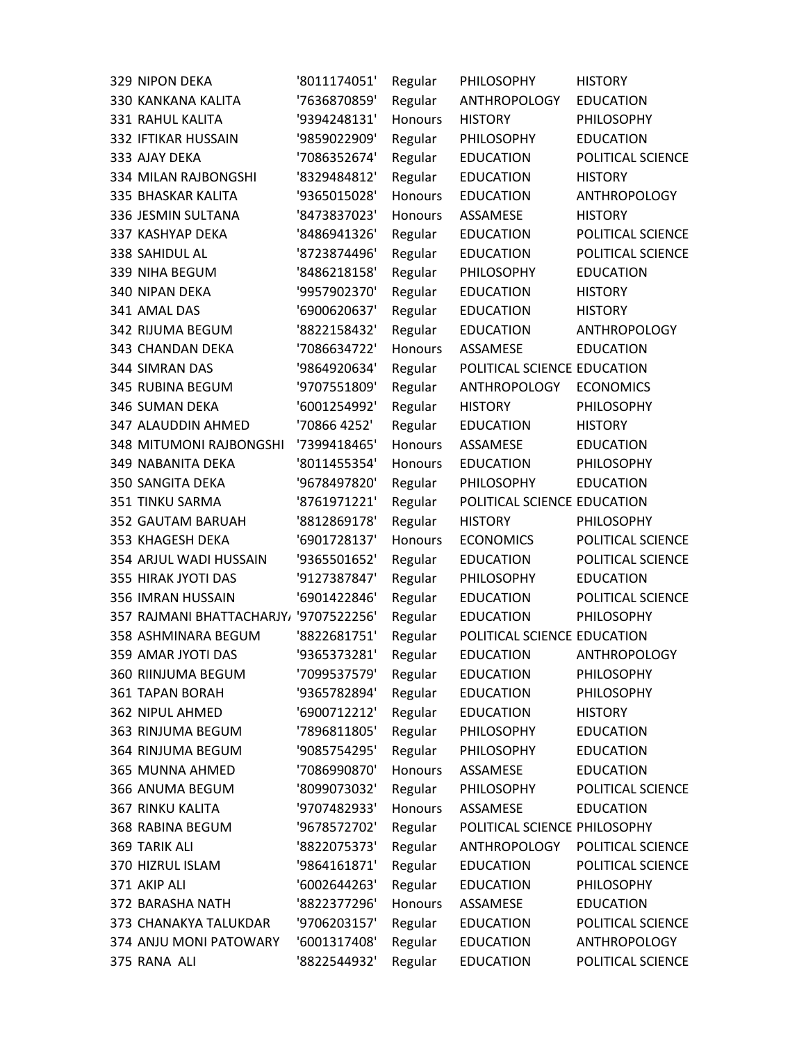| 329 NIPON DEKA                         | '8011174051' | Regular        | PHILOSOPHY                   | <b>HISTORY</b>      |
|----------------------------------------|--------------|----------------|------------------------------|---------------------|
| 330 KANKANA KALITA                     | '7636870859' | Regular        | ANTHROPOLOGY                 | <b>EDUCATION</b>    |
| 331 RAHUL KALITA                       | '9394248131' | <b>Honours</b> | <b>HISTORY</b>               | PHILOSOPHY          |
| 332 IFTIKAR HUSSAIN                    | '9859022909' | Regular        | PHILOSOPHY                   | <b>EDUCATION</b>    |
| 333 AJAY DEKA                          | '7086352674' | Regular        | <b>EDUCATION</b>             | POLITICAL SCIENCE   |
| 334 MILAN RAJBONGSHI                   | '8329484812' | Regular        | <b>EDUCATION</b>             | <b>HISTORY</b>      |
| 335 BHASKAR KALITA                     | '9365015028' | <b>Honours</b> | <b>EDUCATION</b>             | <b>ANTHROPOLOGY</b> |
| 336 JESMIN SULTANA                     | '8473837023' | Honours        | ASSAMESE                     | <b>HISTORY</b>      |
| 337 KASHYAP DEKA                       | '8486941326' | Regular        | <b>EDUCATION</b>             | POLITICAL SCIENCE   |
| 338 SAHIDUL AL                         | '8723874496' | Regular        | <b>EDUCATION</b>             | POLITICAL SCIENCE   |
| 339 NIHA BEGUM                         | '8486218158' | Regular        | PHILOSOPHY                   | <b>EDUCATION</b>    |
| 340 NIPAN DEKA                         | '9957902370' | Regular        | <b>EDUCATION</b>             | <b>HISTORY</b>      |
| 341 AMAL DAS                           | '6900620637' | Regular        | <b>EDUCATION</b>             | <b>HISTORY</b>      |
| 342 RIJUMA BEGUM                       | '8822158432' | Regular        | <b>EDUCATION</b>             | <b>ANTHROPOLOGY</b> |
| 343 CHANDAN DEKA                       | '7086634722' | <b>Honours</b> | ASSAMESE                     | <b>EDUCATION</b>    |
| 344 SIMRAN DAS                         | '9864920634' | Regular        | POLITICAL SCIENCE EDUCATION  |                     |
| 345 RUBINA BEGUM                       | '9707551809' | Regular        | <b>ANTHROPOLOGY</b>          | <b>ECONOMICS</b>    |
| 346 SUMAN DEKA                         | '6001254992' | Regular        | <b>HISTORY</b>               | PHILOSOPHY          |
| 347 ALAUDDIN AHMED                     | '70866 4252' | Regular        | <b>EDUCATION</b>             | <b>HISTORY</b>      |
| <b>348 MITUMONI RAJBONGSHI</b>         | '7399418465' | <b>Honours</b> | ASSAMESE                     | <b>EDUCATION</b>    |
| 349 NABANITA DEKA                      | '8011455354' | <b>Honours</b> | <b>EDUCATION</b>             | PHILOSOPHY          |
| 350 SANGITA DEKA                       | '9678497820' | Regular        | PHILOSOPHY                   | <b>EDUCATION</b>    |
| 351 TINKU SARMA                        | '8761971221' | Regular        | POLITICAL SCIENCE EDUCATION  |                     |
| 352 GAUTAM BARUAH                      | '8812869178' | Regular        | <b>HISTORY</b>               | PHILOSOPHY          |
| 353 KHAGESH DEKA                       | '6901728137' | <b>Honours</b> | <b>ECONOMICS</b>             | POLITICAL SCIENCE   |
| 354 ARJUL WADI HUSSAIN                 | '9365501652' | Regular        | <b>EDUCATION</b>             | POLITICAL SCIENCE   |
| 355 HIRAK JYOTI DAS                    | '9127387847' | Regular        | PHILOSOPHY                   | <b>EDUCATION</b>    |
| 356 IMRAN HUSSAIN                      | '6901422846' | Regular        | <b>EDUCATION</b>             | POLITICAL SCIENCE   |
| 357 RAJMANI BHATTACHARJY, '9707522256' |              | Regular        | <b>EDUCATION</b>             | PHILOSOPHY          |
| 358 ASHMINARA BEGUM                    | '8822681751' | Regular        | POLITICAL SCIENCE EDUCATION  |                     |
| 359 AMAR JYOTI DAS                     | '9365373281' | Regular        | <b>EDUCATION</b>             | <b>ANTHROPOLOGY</b> |
| 360 RIINJUMA BEGUM                     | '7099537579' | Regular        | <b>EDUCATION</b>             | PHILOSOPHY          |
| <b>361 TAPAN BORAH</b>                 | '9365782894' | Regular        | <b>EDUCATION</b>             | PHILOSOPHY          |
| 362 NIPUL AHMED                        | '6900712212' | Regular        | <b>EDUCATION</b>             | <b>HISTORY</b>      |
| 363 RINJUMA BEGUM                      | '7896811805' | Regular        | <b>PHILOSOPHY</b>            | <b>EDUCATION</b>    |
| 364 RINJUMA BEGUM                      | '9085754295' | Regular        | PHILOSOPHY                   | <b>EDUCATION</b>    |
| 365 MUNNA AHMED                        | '7086990870' | <b>Honours</b> | ASSAMESE                     | <b>EDUCATION</b>    |
| 366 ANUMA BEGUM                        | '8099073032' | Regular        | PHILOSOPHY                   | POLITICAL SCIENCE   |
| <b>367 RINKU KALITA</b>                | '9707482933' | Honours        | ASSAMESE                     | <b>EDUCATION</b>    |
| 368 RABINA BEGUM                       | '9678572702' | Regular        | POLITICAL SCIENCE PHILOSOPHY |                     |
| 369 TARIK ALI                          | '8822075373' | Regular        | <b>ANTHROPOLOGY</b>          | POLITICAL SCIENCE   |
| 370 HIZRUL ISLAM                       | '9864161871' | Regular        | <b>EDUCATION</b>             | POLITICAL SCIENCE   |
| 371 AKIP ALI                           | '6002644263' | Regular        | <b>EDUCATION</b>             | PHILOSOPHY          |
| 372 BARASHA NATH                       | '8822377296' | Honours        | ASSAMESE                     | <b>EDUCATION</b>    |
| 373 CHANAKYA TALUKDAR                  | '9706203157' | Regular        | <b>EDUCATION</b>             | POLITICAL SCIENCE   |
| 374 ANJU MONI PATOWARY                 | '6001317408' | Regular        | <b>EDUCATION</b>             | <b>ANTHROPOLOGY</b> |
| 375 RANA ALI                           | '8822544932' | Regular        | <b>EDUCATION</b>             | POLITICAL SCIENCE   |